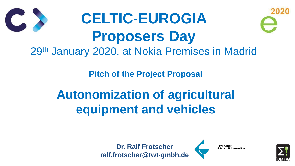**Pitch of the Project Proposal**

## **Autonomization of agricultural equipment and vehicles**

## **CELTIC-EUROGIA Proposers Day** 29th January 2020, at Nokia Premises in Madrid

**Dr. Ralf Frotscher ralf.frotscher@twt-gmbh.de**



**TWT GmbH Science & Innovation** 



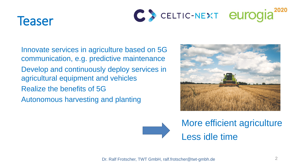



Innovate services in agriculture based on 5G communication, e.g. predictive maintenance Develop and continuously deploy services in agricultural equipment and vehicles Realize the benefits of 5G Autonomous harvesting and planting

Dr. Ralf Frotscher, TWT GmbH, ralf.frotscher@twt-gmbh.de 2





## More efficient agriculture Less idle time



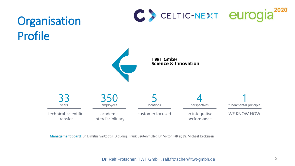## Organisation Profile



33 years

350 employees

technical-scientific transfer

academic interdisciplinary

customer focused

Management board: Dr. Dimitris Vartziotis, Dipl.-Ing. Frank Beutenmüller, Dr. Victor Fäßler, Dr. Michael Keckeisen



#### **TWT GmbH Science & Innovation**



perspectives

an integrative performance

fundamental principle

WE KNOW HOW.

Dr. Ralf Frotscher, TWT GmbH, ralf.frotscher@twt-gmbh.de 3

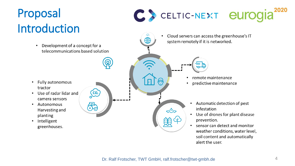## Proposal Introduction

Development of a concept for a telecommunications based solution

 $\begin{pmatrix} 0 \\ 0 \end{pmatrix}$ 

 $\bullet$ 

- **Fully autonomous** tractor
- Use of radar lidar and camera sensors
- Autonomous  $\bullet$ Harvesting and planting
- Intelligent  $\bullet$ greenhouses.



 $\bigoplus$ 



Cloud servers can access the greenhouse's IT system remotely if it is networked.



- remote maintenance
- predictive maintenance  $\bullet$



 $\bigoplus$ 

H.

- Automatic detection of pest  $\bullet$ infestation
- Use of drones for plant disease  $\bullet$ prevention.
- sensor can detect and monitor  $\bullet$ weather conditions, water level, soil content and automatically alert the user.

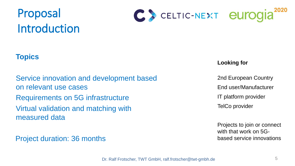



Project duration: 36 months

Dr. Ralf Frotscher, TWT GmbH, ralf.frotscher@twt-gmbh.de 5

#### **Looking for**

2nd European Country End user/Manufacturer IT platform provider TelCo provider

Projects to join or connect with that work on 5Gbased service innovations





### **Topics**

Service innovation and development based on relevant use cases Requirements on 5G infrastructure Virtual validation and matching with measured data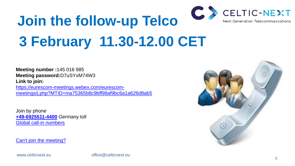6

# **Join the follow-up Telco 3 February 11.30-12.00 CET**

**Meeting number :**145 016 985 **Meeting password:**D7uSYxM74W3 **Link to join:**

[https://eurescom-meetings.webex.com/eurescom](https://eurescom-meetings.webex.com/eurescom-meetings/j.php?MTID=ma75365b8c9bff98af9bc6a1a626d8ab5)[meetings/j.php?MTID=ma75365b8c9bff98af9bc6a1a626d8ab5](https://eurescom-meetings.webex.com/eurescom-meetings/j.php?MTID=ma75365b8c9bff98af9bc6a1a626d8ab5)

Join by phone **[+49-6925511-4400](about:blank)** Germany toll [Global call-in numbers](https://eurescom.webex.com/eurescom/globalcallin.php?serviceType=MC&ED=697732507&tollFree=0)

[Can't join the meeting?](https://collaborationhelp.cisco.com/article/WBX000029055)

www.celticnext.eu office@celticnext.eu